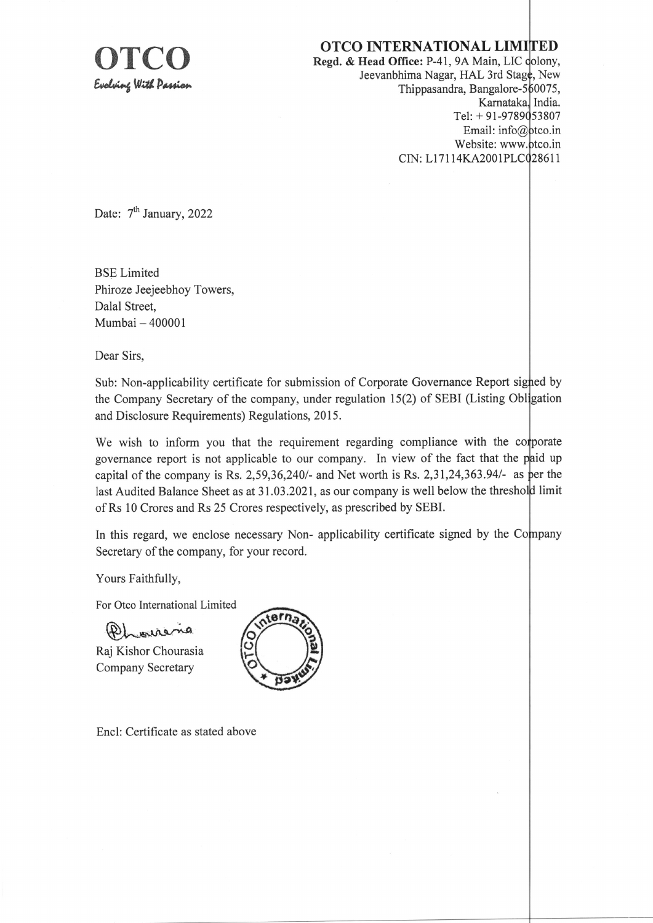

OTCO INTERNATIONAL

Regd. & Head Office: P-41, 9A Main, LIC colony, Jeevanbhima Nagar, HAL 3rd Stage, New<br>Evelying With Passion Thinnessadra Bangalore-560075 Thippasandra, Bangalore-560075, Karnataka, India. Tel: + 91 -97 Email: info@otco.in Website: www CIN: L17l l4KA200 1

Date:  $7<sup>th</sup>$  January, 2022

BSE Limited Phiroze Jeejeebhoy Towers, Dalal Street, Mumbai- 400001

Dear Sirs,

Sub: Non-applicability certificate for submission of Corporate Governance Report signed by the Company Secretary of the company, under regulation 15(2) of SEBI (Listing Obligation and Disclosure Requirements) Regulations, 2015.

We wish to inform you that the requirement regarding compliance with the corporate governance report is not applicable to our company. In view of the fact that the capital of the company is Rs. 2,59,36,240/- and Net worth is Rs. 2,31,24,363.94/- as per the last Audited Balance Sheet as at 31.03.2021, as our company is well below the threshold limit of Rs l0 Crores and Rs 25 Crores respectively, as prescribed by SEBI.

In this regard, we enclose necessary Non- applicability certificate signed by the Company Secretary of the company, for your record.

Yours Faithfully,

For Otco International Limited

 $\lvert \mathcal{P} \rvert_{\text{min}}$ 

Raj Kishor Chourasia Company Secretary



Encl: Certificate as stated above